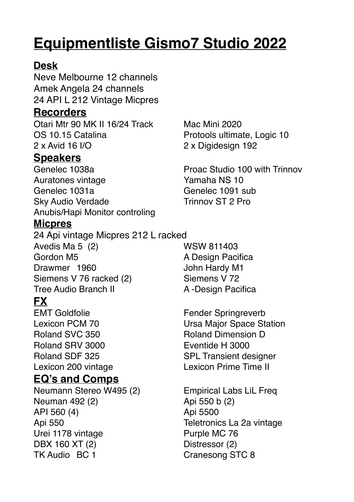# **Equipmentliste Gismo7 Studio 2022**

# **Desk**

Neve Melbourne 12 channels Amek Angela 24 channels 24 API L 212 Vintage Micpres

# **Recorders**

Otari Mtr 90 MK II 16/24 Track Mac Mini 2020 OS 10.15 Catalina Protools ultimate, Logic 10 2 x Avid 16 I/O 2 x Digidesign 192

### **Speakers**

Genelec 1038a **Proac Studio 100 with Trinnov** Auratones vintage **Yamaha NS** 10 Genelec 1031a Genelec 1091 sub Sky Audio Verdade Trinnov ST 2 Pro Anubis/Hapi Monitor controling

### **Micpres**

24 Api vintage Micpres 212 L racked Avedis Ma 5 (2) WSW 811403 Gordon M5 **A Design Pacifica** Drawmer 1960 John Hardy M1 Siemens V 76 racked (2) Siemens V 72 Tree Audio Branch II A -Design Pacifica

# **FX**

EMT Goldfolie Fender Springreverb Roland SVC 350 Roland Dimension D Roland SRV 3000 Eventide H 3000

# **EQ's and Comps**

Neumann Stereo W495 (2) Empirical Labs LiL Freq Neuman 492 (2) Api 550 b (2) API 560 (4) Api 5500 Api 550 Teletronics La 2a vintage Urei 1178 vintage Purple MC 76 DBX 160 XT (2) Distressor (2) TK Audio BC 1 Cranesong STC 8

Lexicon PCM 70 Ursa Major Space Station Roland SDF 325 SPL Transient designer Lexicon 200 vintage Lexicon Prime Time II